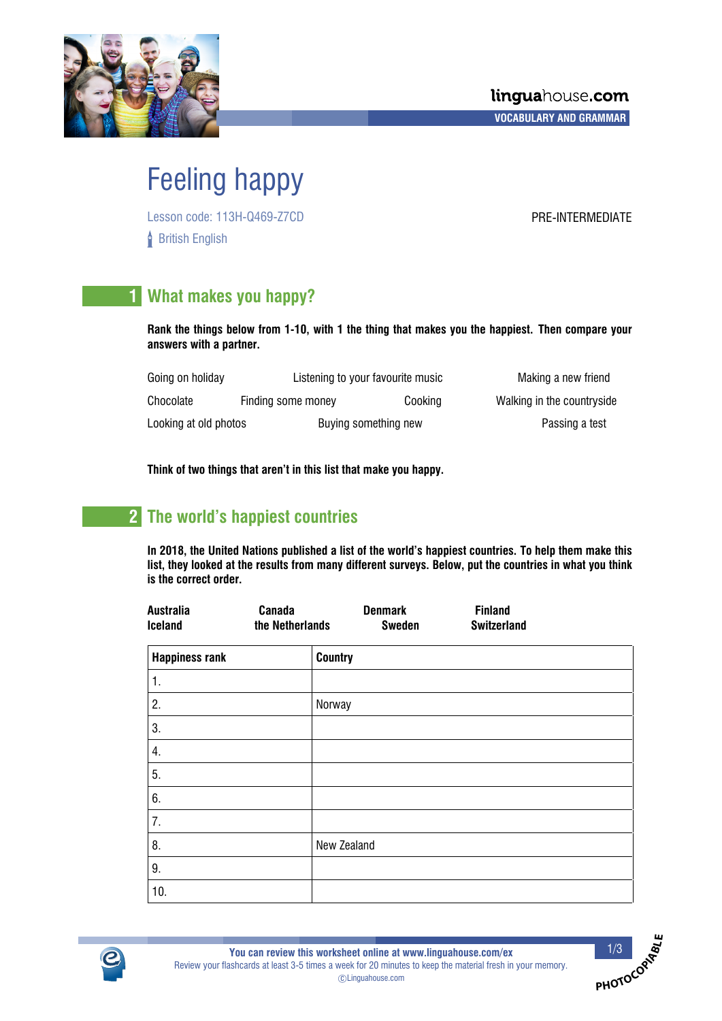

# Feeling happy

Lesson code: 113H-Q469-Z7CD PRE-INTERMEDIATE **British English** 

# **1 What makes you happy?**

**Rank the things below from 1-10, with 1 the thing that makes you the happiest. Then compare your answers with a partner.**

| Going on holiday      |                    | Listening to your favourite music | Making a new friend        |
|-----------------------|--------------------|-----------------------------------|----------------------------|
| Chocolate             | Finding some money | Cooking                           | Walking in the countryside |
| Looking at old photos |                    | Buying something new              | Passing a test             |

**Think of two things that aren't in this list that make you happy.**

# **2 The world's happiest countries**

**In 2018, the United Nations published a list of the world's happiest countries. To help them make this list, they looked at the results from many different surveys. Below, put the countries in what you think is the correct order.**

| Australia<br><b>Iceland</b> | Canada<br>the Netherlands | <b>Denmark</b><br><b>Sweden</b> | <b>Finland</b><br><b>Switzerland</b> |  |
|-----------------------------|---------------------------|---------------------------------|--------------------------------------|--|
| <b>Happiness rank</b>       | <b>Country</b>            |                                 |                                      |  |
| $\mathbf{1}$ .              |                           |                                 |                                      |  |
| 2.                          | Norway                    |                                 |                                      |  |
| 3.                          |                           |                                 |                                      |  |
| 4.                          |                           |                                 |                                      |  |
| 5.                          |                           |                                 |                                      |  |
| 6.                          |                           |                                 |                                      |  |
| 7.                          |                           |                                 |                                      |  |
| 8.                          |                           | New Zealand                     |                                      |  |
| 9.                          |                           |                                 |                                      |  |
| 10.                         |                           |                                 |                                      |  |



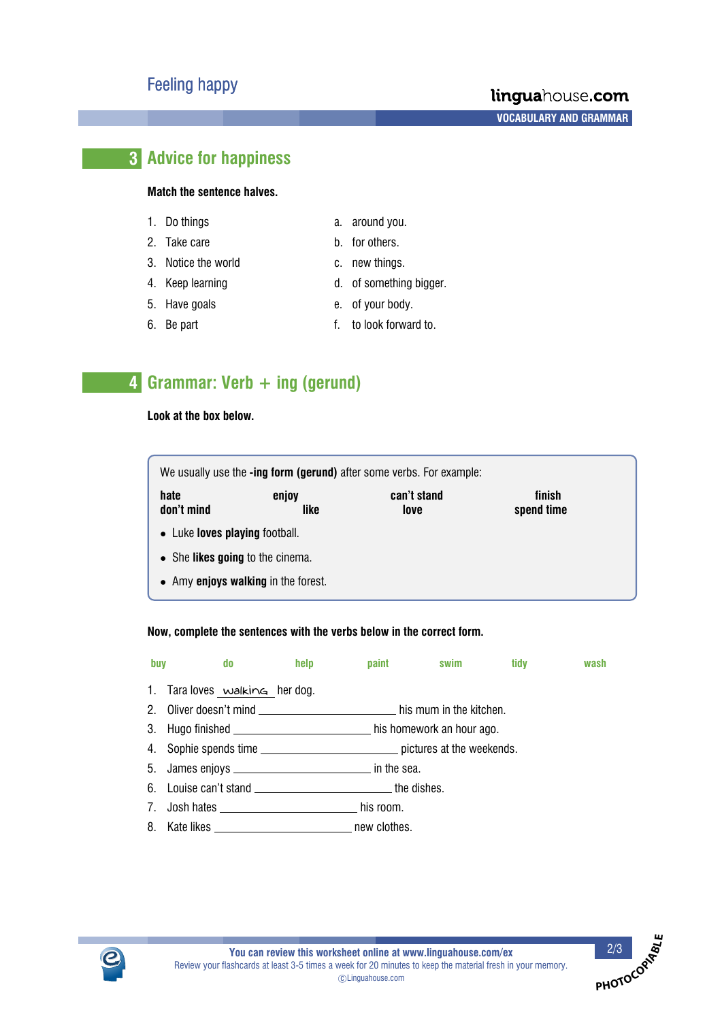### linguahouse.com

**A A A A VOCABULARY AND GRAMMAR**

## **3 Advice for happiness**

#### **Match the sentence halves.**

- 1. Do things a. around you.
- 2. Take care b. for others.
- 3. Notice the world c. new things.
- 4. Keep learning and the state of something bigger.
- 
- 
- 
- 
- 5. Have goals e. of your body.
- 6. Be part **f.** to look forward to.

## **4 Grammar: Verb + ing (gerund)**

#### **Look at the box below.**

We usually use the **-ing form (gerund)** after some verbs. For example: **hate** enjoy can't stand finish don't mind **like** love spend time

- Luke **loves playing** football.
- She **likes going** to the cinema.
- Amy **enjoys walking** in the forest.

#### **Now, complete the sentences with the verbs below in the correct form.**

| buy |                                | do a contracto de la contracto de la contracto de la contracto de la contracto de la contracto de la contracto | help |                                                                                    | paint swim | tidy | wash |
|-----|--------------------------------|----------------------------------------------------------------------------------------------------------------|------|------------------------------------------------------------------------------------|------------|------|------|
|     | 1. Tara loves walking her dog. |                                                                                                                |      |                                                                                    |            |      |      |
|     |                                |                                                                                                                |      | 2. Oliver doesn't mind ________________________________ his mum in the kitchen.    |            |      |      |
|     |                                |                                                                                                                |      |                                                                                    |            |      |      |
|     |                                |                                                                                                                |      | 4. Sophie spends time __________________________________ pictures at the weekends. |            |      |      |
|     |                                |                                                                                                                |      |                                                                                    |            |      |      |
|     |                                |                                                                                                                |      | 6. Louise can't stand __________________________________the dishes.                |            |      |      |
|     |                                |                                                                                                                |      |                                                                                    |            |      |      |

8. Kate likes \_\_\_\_\_\_\_\_\_\_\_\_\_\_\_\_\_\_\_\_\_\_\_\_\_\_\_\_\_\_\_\_\_\_ new clothes.



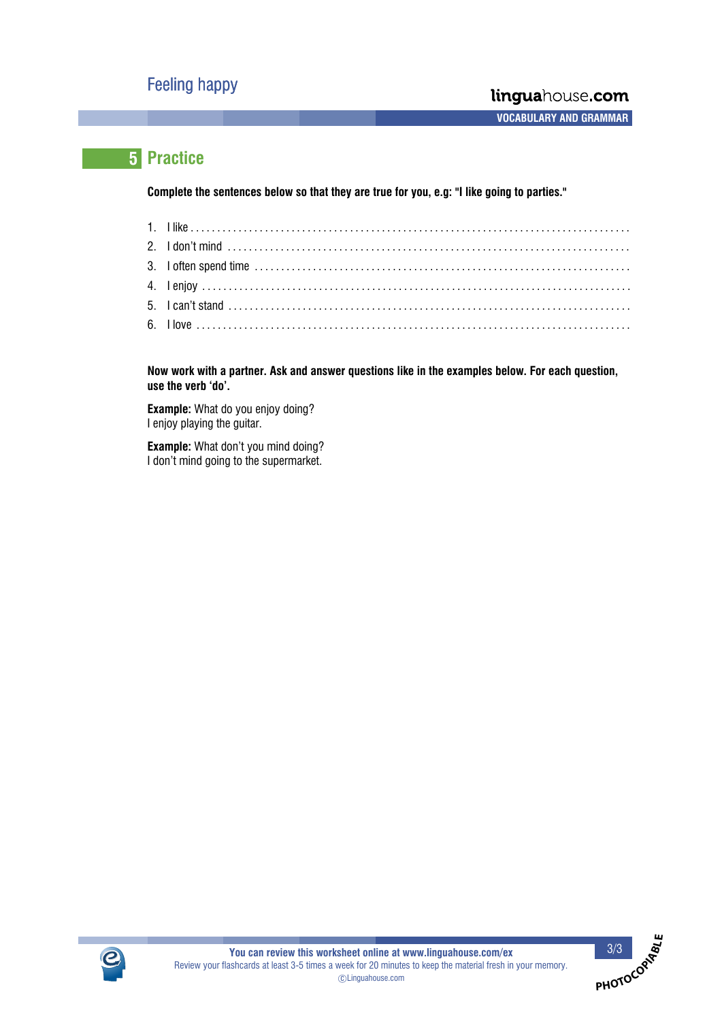**A A A A VOCABULARY AND GRAMMAR**

**PHOTOCOP<sup>I</sup>ABL<sup>E</sup>**

# **5 Practice**

**Complete the sentences below so that they are true for you, e.g: "I like going to parties."**

**Now work with a partner. Ask and answer questions like in the examples below. For each question, use the verb `do'.**

**Example:** What do you enjoy doing? I enjoy playing the guitar.

**Example:** What don't you mind doing? I don't mind going to the supermarket.